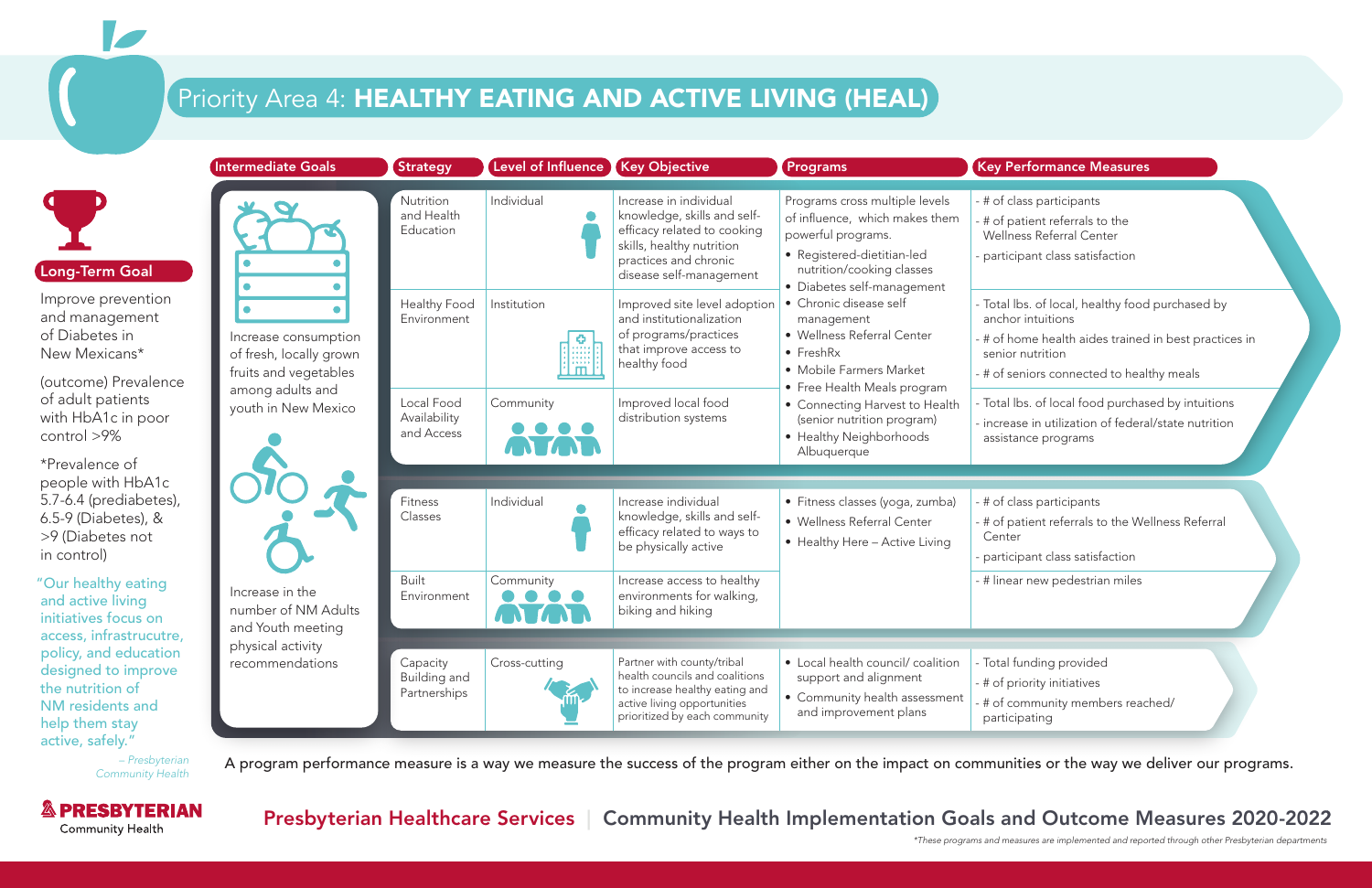Presbyterian Healthcare Services | Community Health Implementation Goals and Outcome Measures 2020-2022

# Priority Area 4: HEALTHY EATING AND ACTIVE LIVING (HEAL)



|                                                                                                       | <b>Intermediate Goals</b>                                                | <b>Strategy</b>                          | Level of Influence                           | <b>Key Objective</b>                                                                                                                                                  | Programs                                                                                                                                                                        | <b>Key Performance Measures</b>                                                                                                                                      |
|-------------------------------------------------------------------------------------------------------|--------------------------------------------------------------------------|------------------------------------------|----------------------------------------------|-----------------------------------------------------------------------------------------------------------------------------------------------------------------------|---------------------------------------------------------------------------------------------------------------------------------------------------------------------------------|----------------------------------------------------------------------------------------------------------------------------------------------------------------------|
| <b>Long-Term Goal</b>                                                                                 |                                                                          | Nutrition<br>and Health<br>Education     | Individual                                   | Increase in individual<br>knowledge, skills and self-<br>efficacy related to cooking<br>skills, healthy nutrition<br>practices and chronic<br>disease self-management | Programs cross multiple levels<br>of influence, which makes them<br>powerful programs.<br>• Registered-dietitian-led<br>nutrition/cooking classes<br>• Diabetes self-management | - # of class participants<br># of patient referrals to the<br>Wellness Referral Center<br>- participant class satisfaction                                           |
| Improve prevention<br>and management<br>of Diabetes in<br>New Mexicans*                               | Increase consumption<br>of fresh, locally grown<br>fruits and vegetables | <b>Healthy Food</b><br>Environment       | Institution<br>Đ.<br>$\{ \vec{m}\   \}$<br>. | Improved site level adoption<br>and institutionalization<br>of programs/practices<br>that improve access to<br>healthy food                                           | • Chronic disease self<br>management<br>• Wellness Referral Center<br>$\bullet$ FreshRx<br>• Mobile Farmers Market                                                              | - Total Ibs. of local, healthy food purc<br>anchor intuitions<br>- # of home health aides trained in be<br>senior nutrition<br>- # of seniors connected to healthy m |
| (outcome) Prevalence<br>of adult patients<br>with HbA1c in poor<br>control >9%                        | among adults and<br>youth in New Mexico                                  | Local Food<br>Availability<br>and Access | Community<br>ATAR                            | Improved local food<br>distribution systems                                                                                                                           | • Free Health Meals program<br>• Connecting Harvest to Health<br>(senior nutrition program)<br>• Healthy Neighborhoods<br>Albuquerque                                           | - Total Ibs. of local food purchased by<br>- increase in utilization of federal/stat<br>assistance programs                                                          |
| *Prevalence of                                                                                        |                                                                          |                                          |                                              |                                                                                                                                                                       |                                                                                                                                                                                 |                                                                                                                                                                      |
| people with HbA1c<br>5.7-6.4 (prediabetes),<br>6.5-9 (Diabetes), &<br>>9 (Diabetes not<br>in control) |                                                                          | Fitness<br>Classes                       | Individual                                   | Increase individual<br>knowledge, skills and self-<br>efficacy related to ways to<br>be physically active                                                             | · Fitness classes (yoga, zumba)<br>• Wellness Referral Center<br>• Healthy Here - Active Living                                                                                 | - # of class participants<br>- # of patient referrals to the Wellnes:<br>Center<br>- participant class satisfaction                                                  |
| 'Our healthy eating<br>and active living<br>initiatives focus on                                      | Increase in the<br>number of NM Adults<br>and Youth meeting              | <b>Built</b><br>Environment              | Community                                    | Increase access to healthy<br>environments for walking,<br>biking and hiking                                                                                          |                                                                                                                                                                                 | - # linear new pedestrian miles                                                                                                                                      |
| access, infrastrucutre,<br>policy, and education                                                      | physical activity                                                        |                                          |                                              |                                                                                                                                                                       |                                                                                                                                                                                 |                                                                                                                                                                      |
| designed to improve<br>the nutrition of<br>NM residents and<br>help them stay                         | recommendations                                                          | Capacity<br>Building and<br>Partnerships | Cross-cutting                                | Partner with county/tribal<br>health councils and coalitions<br>to increase healthy eating and<br>active living opportunities<br>prioritized by each community        | • Local health council/ coalition<br>support and alignment<br>• Community health assessment<br>and improvement plans                                                            | - Total funding provided<br>- # of priority initiatives<br># of community members reached/<br>participating                                                          |
| active, safely."                                                                                      |                                                                          |                                          |                                              |                                                                                                                                                                       |                                                                                                                                                                                 |                                                                                                                                                                      |

*– Presbyterian* A program performance measure is a way we measure the success of the program either on the impact on communities or the way we deliver our programs. *Community Health* 

*\*These programs and measures are implemented and reported through other Presbyterian departments* 

- class participants
- patient referrals to the
- ness Referral Center
- cipant class satisfaction
- lbs. of local, healthy food purchased by or intuitions
- home health aides trained in best practices in or nutrition
- seniors connected to healthy meals
- lbs. of local food purchased by intuitions
- ase in utilization of federal/state nutrition tance programs
- class participants
- patient referrals to the Wellness Referral ter
- cipant class satisfaction
- ear new pedestrian miles
- funding provided
- 
- 
-